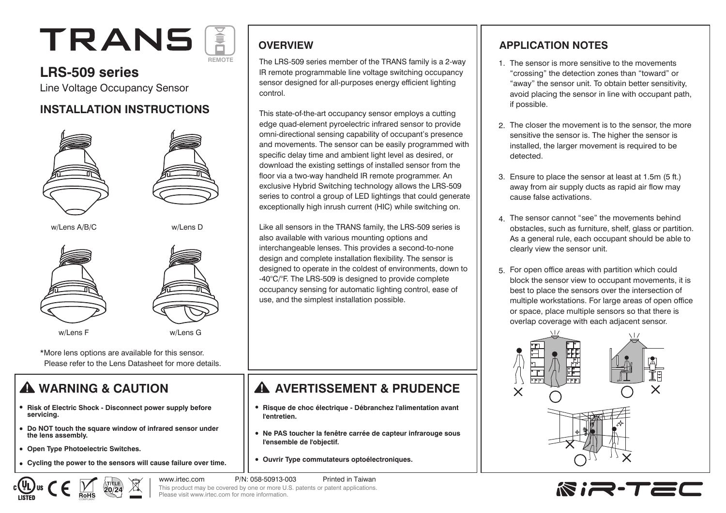# TRANS **REMOTE**

## **LRS-509 series**

Line Voltage Occupancy Sensor

## **INSTALLATION INSTRUCTIONS**









\*More lens options are available for this sensor. Please refer to the Lens Datasheet for more details.

# **WARNING & CAUTION**

- **Risk of Electric Shock Disconnect power supply before servicing.**
- **Do NOT touch the square window of infrared sensor under the lens assembly.**
- **Open Type Photoelectric Switches.**
- **Cycling the power to the sensors will cause failure over time.**

**OVERVIEW**

The LRS-509 series member of the TRANS family is a 2-way IR remote programmable line voltage switching occupancy sensor designed for all-purposes energy efficient lighting control.

This state-of-the-art occupancy sensor employs a cutting edge quad-element pyroelectric infrared sensor to provide omni-directional sensing capability of occupant's presence and movements. The sensor can be easily programmed with specific delay time and ambient light level as desired, or download the existing settings of installed sensor from the floor via a two-way handheld IR remote programmer. An exclusive Hybrid Switching technology allows the LRS-509 series to control a group of LED lightings that could generate exceptionally high inrush current (HIC) while switching on.

Like all sensors in the TRANS family, the LRS-509 series is also available with various mounting options and interchangeable lenses. This provides a second-to-none design and complete installation flexibility. The sensor is designed to operate in the coldest of environments, down to -40°C/°F. The LRS-509 is designed to provide complete occupancy sensing for automatic lighting control, ease of use, and the simplest installation possible.

## **AVERTISSEMENT & PRUDENCE**

- **Risque de choc électrique Débranchez l'alimentation avant l'entretien.**
- **Ne PAS toucher la fenêtre carrée de capteur infrarouge sous l'ensemble de l'objectif.**
- **Ouvrir Type commutateurs optoélectroniques.**

www.irtec.com P/N: 058-50913-003 Printed in Taiwan This product may be covered by one or more U.S. patents or patent applications. Please visit www.irtec.com for more information.

### **APPLICATION NOTES**

- 1. The sensor is more sensitive to the movements "crossing" the detection zones than "toward" or "away" the sensor unit. To obtain better sensitivity, avoid placing the sensor in line with occupant path, if possible.
- The closer the movement is to the sensor, the more 2. sensitive the sensor is. The higher the sensor is installed, the larger movement is required to be detected.
- Ensure to place the sensor at least at 1.5m (5 ft.) 3. away from air supply ducts as rapid air flow may cause false activations.
- The sensor cannot "see" the movements behind 4. obstacles, such as furniture, shelf, glass or partition. As a general rule, each occupant should be able to clearly view the sensor unit.
- 5. For open office areas with partition which could block the sensor view to occupant movements, it is best to place the sensors over the intersection of multiple workstations. For large areas of open office or space, place multiple sensors so that there is overlap coverage with each adjacent sensor.